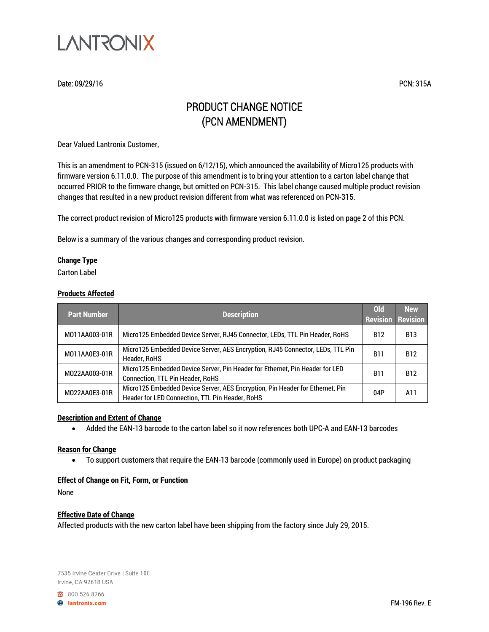

Date: 09/29/16 PCN: 315A

# PRODUCT CHANGE NOTICE (PCN AMENDMENT)

Dear Valued Lantronix Customer,

This is an amendment to PCN-315 (issued on 6/12/15), which announced the availability of Micro125 products with firmware version 6.11.0.0. The purpose of this amendment is to bring your attention to a carton label change that occurred PRIOR to the firmware change, but omitted on PCN-315. This label change caused multiple product revision changes that resulted in a new product revision different from what was referenced on PCN-315.

The correct product revision of Micro125 products with firmware version 6.11.0.0 is listed on page 2 of this PCN.

Below is a summary of the various changes and corresponding product revision.

## **Change Type**

Carton Label

### **Products Affected**

| <b>Part Number</b> | <b>Description</b>                                                                                                               | <b>Old</b><br><b>Revision Revision</b> | <b>New</b> |
|--------------------|----------------------------------------------------------------------------------------------------------------------------------|----------------------------------------|------------|
| M011AA003-01R      | Micro125 Embedded Device Server, RJ45 Connector, LEDs, TTL Pin Header, RoHS                                                      | <b>B12</b>                             | <b>B13</b> |
| M011AA0E3-01R      | Micro125 Embedded Device Server, AES Encryption, RJ45 Connector, LEDs, TTL Pin<br>Header, RoHS                                   | <b>B11</b>                             | <b>B12</b> |
| M022AA003-01R      | Micro125 Embedded Device Server, Pin Header for Ethernet, Pin Header for LED<br>Connection, TTL Pin Header, RoHS                 | <b>B11</b>                             | <b>B12</b> |
| M022AA0E3-01R      | Micro125 Embedded Device Server, AES Encryption, Pin Header for Ethernet, Pin<br>Header for LED Connection, TTL Pin Header, RoHS | 04P                                    | A11        |

### **Description and Extent of Change**

• Added the EAN-13 barcode to the carton label so it now references both UPC-A and EAN-13 barcodes

#### **Reason for Change**

• To support customers that require the EAN-13 barcode (commonly used in Europe) on product packaging

### **Effect of Change on Fit, Form, or Function**

None

### **Effective Date of Change**

Affected products with the new carton label have been shipping from the factory since July 29, 2015.

7535 Irvine Center Drive | Suite 100 Irvine, CA 92618 USA

800.526.8766